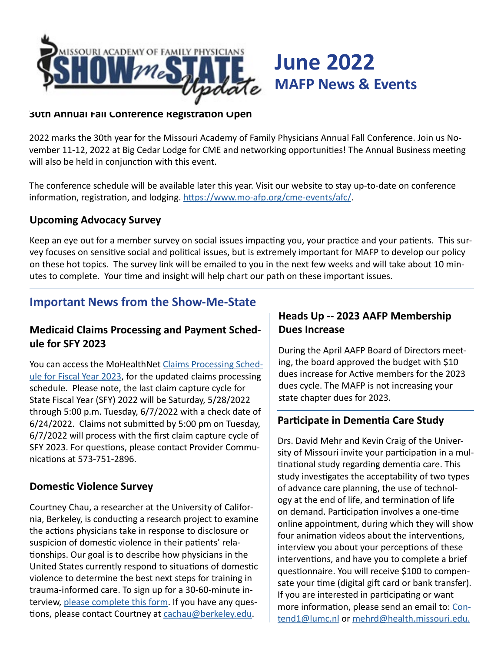

#### **30th Annual Fall Conference Registration Open**

2022 marks the 30th year for the Missouri Academy of Family Physicians Annual Fall Conference. Join us November 11-12, 2022 at Big Cedar Lodge for CME and networking opportunities! The Annual Business meeting will also be held in conjunction with this event.

The conference schedule will be available later this year. Visit our website to stay up-to-date on conference information, registration, and lodging. <https://www.mo-afp.org/cme-events/afc/>.

#### **Upcoming Advocacy Survey**

Keep an eye out for a member survey on social issues impacting you, your practice and your patients. This survey focuses on sensitive social and political issues, but is extremely important for MAFP to develop our policy on these hot topics. The survey link will be emailed to you in the next few weeks and will take about 10 minutes to complete. Your time and insight will help chart our path on these important issues.

# **Important News from the Show-Me-State**

### **Medicaid Claims Processing and Payment Schedule for SFY 2023**

You can access the MoHealthNet [Claims Processing Sched](http://manuals.momed.com/ClaimsProcessingSchedule.html)[ule for Fiscal Year 2023](http://manuals.momed.com/ClaimsProcessingSchedule.html), for the updated claims processing schedule. Please note, the last claim capture cycle for State Fiscal Year (SFY) 2022 will be Saturday, 5/28/2022 through 5:00 p.m. Tuesday, 6/7/2022 with a check date of 6/24/2022. Claims not submitted by 5:00 pm on Tuesday, 6/7/2022 will process with the first claim capture cycle of SFY 2023. For questions, please contact Provider Communications at 573-751-2896.

#### **Domestic Violence Survey**

Courtney Chau, a researcher at the University of California, Berkeley, is conducting a research project to examine the actions physicians take in response to disclosure or suspicion of domestic violence in their patients' relationships. Our goal is to describe how physicians in the United States currently respond to situations of domestic violence to determine the best next steps for training in trauma-informed care. To sign up for a 30-60-minute interview, [please complete this form](https://docs.google.com/forms/d/e/1FAIpQLSc2sS1dp0bgiAq0-oY4lQgi9wv8gHTV8WQ9sOZFi-CJeywu_w/viewform?usp=sf_link). If you have any questions, please contact Courtney at [cachau@berkeley.edu](mailto:cachau%40berkeley.edu?subject=cachau%40berkeley.edu).

## **Heads Up -- 2023 AAFP Membership Dues Increase**

**June 2022**

**MAFP News & Events**

During the April AAFP Board of Directors meeting, the board approved the budget with \$10 dues increase for Active members for the 2023 dues cycle. The MAFP is not increasing your state chapter dues for 2023.

## **Participate in Dementia Care Study**

Drs. David Mehr and Kevin Craig of the University of Missouri invite your participation in a multinational study regarding dementia care. This study investigates the acceptability of two types of advance care planning, the use of technology at the end of life, and termination of life on demand. Participation involves a one-time online appointment, during which they will show four animation videos about the interventions, interview you about your perceptions of these interventions, and have you to complete a brief questionnaire. You will receive \$100 to compensate your time (digital gift card or bank transfer). If you are interested in participating or want more information, please send an email to: [Con](mailto:Contend1%40lumc.nl?subject=)[tend1@lumc.nl](mailto:Contend1%40lumc.nl?subject=) or [mehrd@health.missouri.edu.](mailto:mehrd%40health.missouri.edu?subject=)